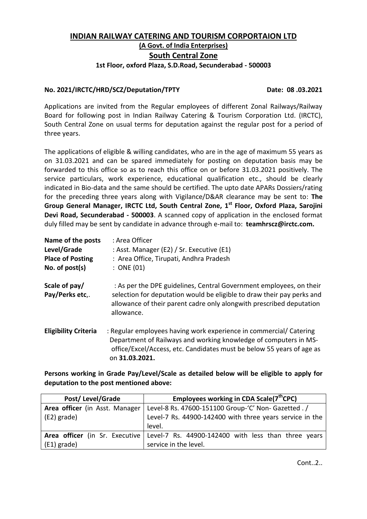# **INDIAN RAILWAY CATERING AND TOURISM CORPORTAION LTD (A Govt. of India Enterprises) South Central Zone 1st Floor, oxford Plaza, S.D.Road, Secunderabad - 500003**

# **No. 2021/IRCTC/HRD/SCZ/Deputation/TPTY Date: 08 .03.2021**

Applications are invited from the Regular employees of different Zonal Railways/Railway Board for following post in Indian Railway Catering & Tourism Corporation Ltd. (IRCTC), South Central Zone on usual terms for deputation against the regular post for a period of three years.

The applications of eligible & willing candidates, who are in the age of maximum 55 years as on 31.03.2021 and can be spared immediately for posting on deputation basis may be forwarded to this office so as to reach this office on or before 31.03.2021 positively. The service particulars, work experience, educational qualification etc., should be clearly indicated in Bio-data and the same should be certified. The upto date APARs Dossiers/rating for the preceding three years along with Vigilance/D&AR clearance may be sent to: **The Group General Manager, IRCTC Ltd, South Central Zone, 1 st Floor, Oxford Plaza, Sarojini Devi Road, Secunderabad - 500003**. A scanned copy of application in the enclosed format duly filled may be sent by candidate in advance through e-mail to: **teamhrscz@irctc.com.**

| Name of the posts                | : Area Officer                                                                                                                                                                                                                      |
|----------------------------------|-------------------------------------------------------------------------------------------------------------------------------------------------------------------------------------------------------------------------------------|
| Level/Grade                      | : Asst. Manager (E2) / Sr. Executive (E1)                                                                                                                                                                                           |
| <b>Place of Posting</b>          | : Area Office, Tirupati, Andhra Pradesh                                                                                                                                                                                             |
| No. of $post(s)$                 | $:$ ONE (01)                                                                                                                                                                                                                        |
| Scale of pay/<br>Pay/Perks etc,. | : As per the DPE guidelines, Central Government employees, on their<br>selection for deputation would be eligible to draw their pay perks and<br>allowance of their parent cadre only alongwith prescribed deputation<br>allowance. |
| <b>Eligibility Criteria</b>      | : Regular employees having work experience in commercial/ Catering<br>Department of Railways and working knowledge of computers in MS-<br>office/Excel/Access, etc. Candidates must be below 55 years of age as<br>on 31.03.2021.   |

**Persons working in Grade Pay/Level/Scale as detailed below will be eligible to apply for deputation to the post mentioned above:**

| Post/Level/Grade               | Employees working in CDA Scale(7 <sup>th</sup> CPC)                                  |
|--------------------------------|--------------------------------------------------------------------------------------|
| Area officer (in Asst. Manager | Level-8 Rs. 47600-151100 Group-'C' Non- Gazetted . /                                 |
| (E2) grade)                    | Level-7 Rs. 44900-142400 with three years service in the                             |
|                                | level.                                                                               |
|                                | Area officer (in Sr. Executive   Level-7 Rs. 44900-142400 with less than three years |
| (E1) grade)                    | service in the level.                                                                |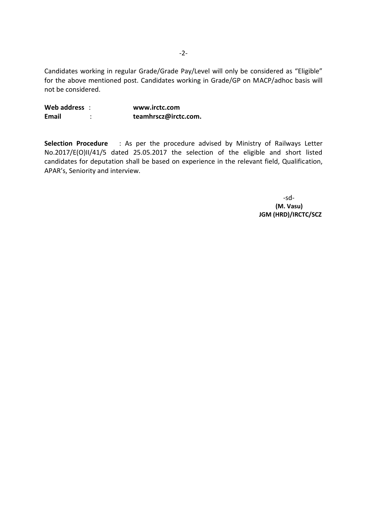Candidates working in regular Grade/Grade Pay/Level will only be considered as "Eligible" for the above mentioned post. Candidates working in Grade/GP on MACP/adhoc basis will not be considered.

**Web address** : **www.irctc.com Email** : **teamhrscz@irctc.com.**

**Selection Procedure** : As per the procedure advised by Ministry of Railways Letter No.2017/E(O)II/41/5 dated 25.05.2017 the selection of the eligible and short listed candidates for deputation shall be based on experience in the relevant field, Qualification, APAR's, Seniority and interview.

> -sd-  **(M. Vasu) JGM (HRD)/IRCTC/SCZ**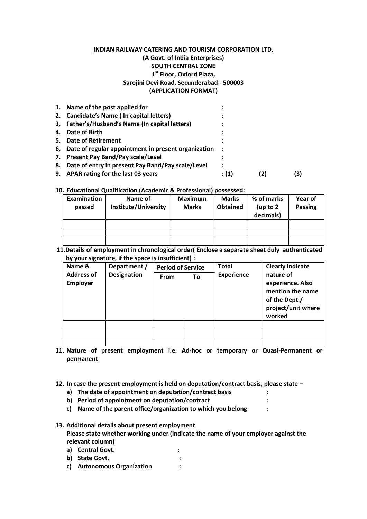## **INDIAN RAILWAY CATERING AND TOURISM CORPORATION LTD. (A Govt. of India Enterprises) SOUTH CENTRAL ZONE 1 st Floor, Oxford Plaza, Sarojini Devi Road, Secunderabad - 500003 (APPLICATION FORMAT)**

|    | 1. Name of the post applied for                        |           |     |
|----|--------------------------------------------------------|-----------|-----|
|    | 2. Candidate's Name (In capital letters)               |           |     |
|    | 3. Father's/Husband's Name (In capital letters)        |           |     |
| 4. | Date of Birth                                          |           |     |
|    | 5. Date of Retirement                                  |           |     |
|    | 6. Date of regular appointment in present organization | $\cdot$ : |     |
|    | 7. Present Pay Band/Pay scale/Level                    |           |     |
|    | 8. Date of entry in present Pay Band/Pay scale/Level   | :         |     |
|    | 9. APAR rating for the last 03 years                   | : (1)     | (3) |

#### **10. Educational Qualification (Academic & Professional) possessed:**

| Examination<br>passed | Name of<br>Institute/University | <b>Maximum</b><br><b>Marks</b> | <b>Marks</b><br><b>Obtained</b> | % of marks<br>(up to $2$<br>decimals) | Year of<br>Passing |
|-----------------------|---------------------------------|--------------------------------|---------------------------------|---------------------------------------|--------------------|
|                       |                                 |                                |                                 |                                       |                    |
|                       |                                 |                                |                                 |                                       |                    |
|                       |                                 |                                |                                 |                                       |                    |

 **11.Details of employment in chronological order( Enclose a separate sheet duly authenticated by your signature, if the space is insufficient) :**

| Name &                               | Department / | <b>Period of Service</b><br>To<br><b>From</b> |  | <b>Total</b>      | <b>Clearly indicate</b>                                                                            |
|--------------------------------------|--------------|-----------------------------------------------|--|-------------------|----------------------------------------------------------------------------------------------------|
| <b>Address of</b><br><b>Employer</b> | Designation  |                                               |  | <b>Experience</b> | nature of<br>experience. Also<br>mention the name<br>of the Dept./<br>project/unit where<br>worked |
|                                      |              |                                               |  |                   |                                                                                                    |
|                                      |              |                                               |  |                   |                                                                                                    |
|                                      |              |                                               |  |                   |                                                                                                    |

**11. Nature of present employment i.e. Ad-hoc or temporary or Quasi-Permanent or permanent** 

**12. In case the present employment is held on deputation/contract basis, please state –**

- **a) The date of appointment on deputation/contract basis :**
- **b) Period of appointment on deputation/contract :**
- **c) Name of the parent office/organization to which you belong :**

**13. Additional details about present employment Please state whether working under (indicate the name of your employer against the relevant column)**

- **a) Central Govt. :**
- **b) State Govt. :**
- **c) Autonomous Organization :**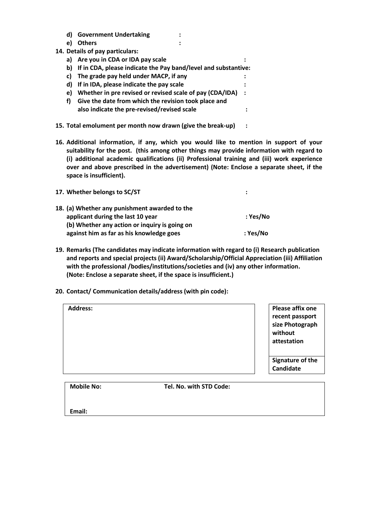- **d) Government Undertaking : e) Others :**
- **14. Details of pay particulars:**
	- **a) Are you in CDA or IDA pay scale :**
	- **b) If in CDA, please indicate the Pay band/level and substantive:**
	- **c) The grade pay held under MACP, if any :**
	- **d) If in IDA, please indicate the pay scale :**
	- **e) Whether in pre revised or revised scale of pay (CDA/IDA) :**
	- **f) Give the date from which the revision took place and also indicate the pre-revised/revised scale :**
- **15. Total emolument per month now drawn (give the break-up) :**
- **16. Additional information, if any, which you would like to mention in support of your suitability for the post. (this among other things may provide information with regard to (i) additional academic qualifications (ii) Professional training and (iii) work experience over and above prescribed in the advertisement) (Note: Enclose a separate sheet, if the space is insufficient).**

| 17. Whether belongs to SC/ST                  |          |
|-----------------------------------------------|----------|
| 18. (a) Whether any punishment awarded to the |          |
| applicant during the last 10 year             | : Yes/No |
| (b) Whether any action or inquiry is going on |          |
| against him as far as his knowledge goes      | : Yes/No |

- **19. Remarks (The candidates may indicate information with regard to (i) Research publication and reports and special projects (ii) Award/Scholarship/Official Appreciation (iii) Affiliation with the professional /bodies/institutions/societies and (iv) any other information. (Note: Enclose a separate sheet, if the space is insufficient.)**
- **20. Contact/ Communication details/address (with pin code):**

| <b>Mobile No:</b> | Tel. No. with STD Code: |                                                                   |
|-------------------|-------------------------|-------------------------------------------------------------------|
|                   |                         | attestation<br>Signature of the<br>Candidate                      |
| <b>Address:</b>   |                         | Please affix one<br>recent passport<br>size Photograph<br>without |

**Email:**